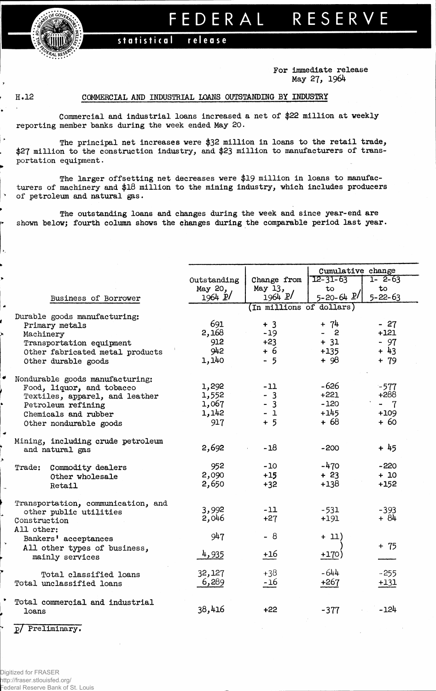

## FEDERAL RESERVE

## statistical release

**For immediate release May 27, 1964**

∣ >

 $\ddot{\phantom{1}}$ 

 $\lambda_1$ 

## **H.12 COMMERCIAL AND INDUSTRIAL LOAMS OUTSTANDING BY INDUSTRY**

**Commercial and industrial loans increased a net of \$22 million at weeklyreporting member banks during the week ended May 20.**

**The principal net increases were \$32 million in loans to the retail trade, \$27 million to the construction industry, and \$23 million to manufacturers of transportation equipment.**

**The larger offsetting net decreases were \$19 million in loans to manufacturers of machinery and \$18 million to the mining industry, which includes producers of petroleum and natural gas.**

**The outstanding loans and changes during the week and since year-end are shown below; fourth column shows the changes during the comparable period last year.**

|                                                |                          |             | Cumulative change                   |               |  |  |  |  |  |
|------------------------------------------------|--------------------------|-------------|-------------------------------------|---------------|--|--|--|--|--|
|                                                | Outstanding              | Change from | $12 - 31 - 63$                      | 1- 2-63       |  |  |  |  |  |
|                                                | May 20,                  | May 13,     | $\mathbf{t}$                        | to            |  |  |  |  |  |
| Business of Borrower                           | 1964 P                   | 1964 P/     | $5 - 20 - 64$ $P$                   | $5 - 22 - 63$ |  |  |  |  |  |
|                                                | (In millions of dollars) |             |                                     |               |  |  |  |  |  |
| Durable goods manufacturing:<br>Primary metals | 691                      | $+3$        | $+ 74$                              | $-27$         |  |  |  |  |  |
| Machinery                                      | 2,168                    | $-19$       | - 2<br>$\qquad \qquad \blacksquare$ | $+121$        |  |  |  |  |  |
| Transportation equipment                       | 912                      | $+23$       | $+ 31$                              | $-97$         |  |  |  |  |  |
| Other fabricated metal products                | 942                      | + 6         | $+135$                              | $+43$         |  |  |  |  |  |
| Other durable goods                            | 1,140                    | $-5$        | $+98$                               | $+ 79$        |  |  |  |  |  |
| Nondurable goods manufacturing:                |                          |             |                                     |               |  |  |  |  |  |
| Food, liquor, and tobacco                      | 1,292                    | $-11$       | -626                                | $-577$        |  |  |  |  |  |
| Textiles, apparel, and leather                 | 1,552                    | $-3$        | $+221$                              | +288          |  |  |  |  |  |
| Petroleum refining                             | 1,067                    | $-3$        | $-120$                              | - 7           |  |  |  |  |  |
| Chemicals and rubber                           | 1,142                    | $-1$        | $+145$                              | $+109$        |  |  |  |  |  |
| Other nondurable goods                         | 917                      | $+5$        | $+68$                               | $+60$         |  |  |  |  |  |
| Mining, including crude petroleum              |                          |             |                                     |               |  |  |  |  |  |
| and natural gas                                | 2,692                    | $-18$       | $-200$                              | $+45$         |  |  |  |  |  |
| Trade: Commodity dealers                       | 952                      | $-10$       | $-470$                              | $-220$        |  |  |  |  |  |
| Other wholesale                                | 2,090                    | $+15$       | $+23$                               | $+10$         |  |  |  |  |  |
| Retail                                         | 2,650                    | $+32$       | $+138$                              | $+152$        |  |  |  |  |  |
| Transportation, communication, and             |                          |             |                                     |               |  |  |  |  |  |
| other public utilities                         | 3,992                    | $-11$       | $-531$                              | $-393$        |  |  |  |  |  |
| Construction                                   | 2,046                    | $+27$       | $+191$                              | $+84$         |  |  |  |  |  |
| All other:<br>Bankers' acceptances             | 947                      | - 8         | + 11)                               |               |  |  |  |  |  |
| All other types of business,                   |                          |             |                                     | $+ 75$        |  |  |  |  |  |
| mainly services                                | 4,935                    | $+16$       | $+170$                              |               |  |  |  |  |  |
| Total classified loans                         | 32,127                   | $+38$       | $-644$                              | $-255$        |  |  |  |  |  |
| Total unclassified loans                       | 6,289                    | $-16$       | $+267$                              | $+131$        |  |  |  |  |  |
| Total commercial and industrial<br>loans       | 38,416                   | $+22$       | $-377$                              | $-124$        |  |  |  |  |  |